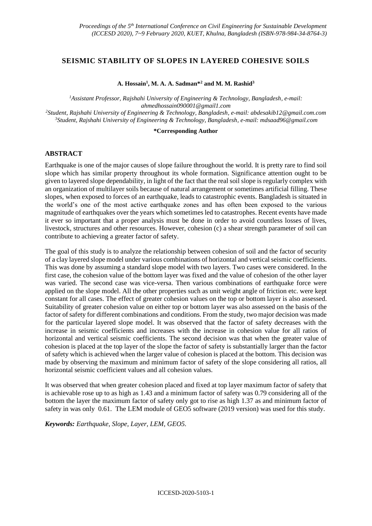# **SEISMIC STABILITY OF SLOPES IN LAYERED COHESIVE SOILS**

#### **A. Hossain<sup>1</sup> , M. A. A. Sadman\*<sup>2</sup> and M. M. Rashid<sup>3</sup>**

*Assistant Professor, Rajshahi University of Engineering & Technology, Bangladesh, e-mail: ahmedhossain090001@gmail1.com Student, Rajshahi University of Engineering & Technology, Bangladesh, e-mail[: abdesakib12@gmail.com.com](mailto:abdesakib12@gmail.com.com) Student, Rajshahi University of Engineering & Technology, Bangladesh, e-mail[: mdsaad96@gmail.com](mailto:mdsaad96@gmail.com)*

#### **\*Corresponding Author**

# **ABSTRACT**

Earthquake is one of the major causes of slope failure throughout the world. It is pretty rare to find soil slope which has similar property throughout its whole formation. Significance attention ought to be given to layered slope dependability, in light of the fact that the real soil slope is regularly complex with an organization of multilayer soils because of natural arrangement or sometimes artificial filling. These slopes, when exposed to forces of an earthquake, leads to catastrophic events. Bangladesh is situated in the world's one of the most active earthquake zones and has often been exposed to the various magnitude of earthquakes over the years which sometimes led to catastrophes. Recent events have made it ever so important that a proper analysis must be done in order to avoid countless losses of lives, livestock, structures and other resources. However, cohesion (c) a shear strength parameter of soil can contribute to achieving a greater factor of safety.

The goal of this study is to analyze the relationship between cohesion of soil and the factor of security of a clay layered slope model under various combinations of horizontal and vertical seismic coefficients. This was done by assuming a standard slope model with two layers. Two cases were considered. In the first case, the cohesion value of the bottom layer was fixed and the value of cohesion of the other layer was varied. The second case was vice-versa. Then various combinations of earthquake force were applied on the slope model. All the other properties such as unit weight angle of friction etc. were kept constant for all cases. The effect of greater cohesion values on the top or bottom layer is also assessed. Suitability of greater cohesion value on either top or bottom layer was also assessed on the basis of the factor of safety for different combinations and conditions. From the study, two major decision was made for the particular layered slope model. It was observed that the factor of safety decreases with the increase in seismic coefficients and increases with the increase in cohesion value for all ratios of horizontal and vertical seismic coefficients. The second decision was that when the greater value of cohesion is placed at the top layer of the slope the factor of safety is substantially larger than the factor of safety which is achieved when the larger value of cohesion is placed at the bottom. This decision was made by observing the maximum and minimum factor of safety of the slope considering all ratios, all horizontal seismic coefficient values and all cohesion values.

It was observed that when greater cohesion placed and fixed at top layer maximum factor of safety that is achievable rose up to as high as 1.43 and a minimum factor of safety was 0.79 considering all of the bottom the layer the maximum factor of safety only got to rise as high 1.37 as and minimum factor of safety in was only 0.61. The LEM module of GEO5 software (2019 version) was used for this study.

*Keywords: Earthquake, Slope, Layer, LEM, GEO5.*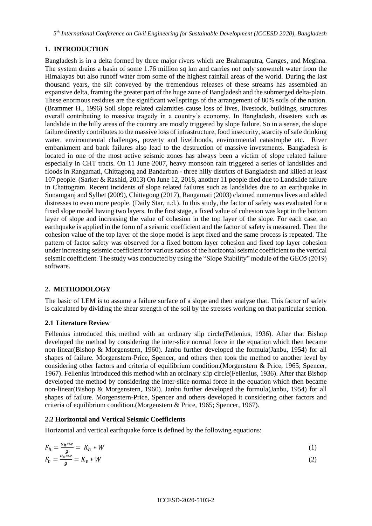*5 th International Conference on Civil Engineering for Sustainable Development (ICCESD 2020), Bangladesh*

# **1. INTRODUCTION**

Bangladesh is in a delta formed by three major rivers which are Brahmaputra, Ganges, and Meghna. The system drains a basin of some 1.76 million sq km and carries not only snowmelt water from the Himalayas but also runoff water from some of the highest rainfall areas of the world. During the last thousand years, the silt conveyed by the tremendous releases of these streams has assembled an expansive delta, framing the greater part of the huge zone of Bangladesh and the submerged delta-plain. These enormous residues are the significant wellsprings of the arrangement of 80% soils of the nation. (Brammer H., 1996) Soil slope related calamities cause loss of lives, livestock, buildings, structures overall contributing to massive tragedy in a country's economy. In Bangladesh, disasters such as landslide in the hilly areas of the country are mostly triggered by slope failure. So in a sense, the slope failure directly contributes to the massive loss of infrastructure, food insecurity, scarcity of safe drinking water, environmental challenges, poverty and livelihoods, environmental catastrophe etc. River embankment and bank failures also lead to the destruction of massive investments. Bangladesh is located in one of the most active seismic zones has always been a victim of slope related failure especially in CHT tracts. On 11 June 2007, heavy monsoon rain triggered a series of landslides and floods in Rangamati, Chittagong and Bandarban - three hilly districts of Bangladesh and killed at least 107 people. (Sarker & Rashid, 2013) On June 12, 2018, another 11 people died due to Landslide failure in Chattogram. Recent incidents of slope related failures such as landslides due to an earthquake in Sunamganj and Sylhet (2009), Chittagong (2017), Rangamati (2003) claimed numerous lives and added distresses to even more people. (Daily Star, n.d.). In this study, the factor of safety was evaluated for a fixed slope model having two layers. In the first stage, a fixed value of cohesion was kept in the bottom layer of slope and increasing the value of cohesion in the top layer of the slope. For each case, an earthquake is applied in the form of a seismic coefficient and the factor of safety is measured. Then the cohesion value of the top layer of the slope model is kept fixed and the same process is repeated. The pattern of factor safety was observed for a fixed bottom layer cohesion and fixed top layer cohesion under increasing seismic coefficient for various ratios of the horizontal seismic coefficient to the vertical seismic coefficient. The study was conducted by using the "Slope Stability" module of the GEO5 (2019) software.

# **2. METHODOLOGY**

The basic of LEM is to assume a failure surface of a slope and then analyse that. This factor of safety is calculated by dividing the shear strength of the soil by the stresses working on that particular section.

## **2.1 Literature Review**

Fellenius introduced this method with an ordinary slip circle(Fellenius, 1936). After that Bishop developed the method by considering the inter-slice normal force in the equation which then became non-linear(Bishop & Morgenstern, 1960). Janbu further developed the formula(Janbu, 1954) for all shapes of failure. Morgenstern-Price, Spencer, and others then took the method to another level by considering other factors and criteria of equilibrium condition.(Morgenstern & Price, 1965; Spencer, 1967). Fellenius introduced this method with an ordinary slip circle(Fellenius, 1936). After that Bishop developed the method by considering the inter-slice normal force in the equation which then became non-linear(Bishop & Morgenstern, 1960). Janbu further developed the formula(Janbu, 1954) for all shapes of failure. Morgenstern-Price, Spencer and others developed it considering other factors and criteria of equilibrium condition.(Morgenstern & Price, 1965; Spencer, 1967).

## **2.2 Horizontal and Vertical Seismic Coefficients**

Horizontal and vertical earthquake force is defined by the following equations:

$$
F_h = \frac{a_h * w}{g} = K_h * W
$$
  
\n
$$
F_v = \frac{a_v * w}{g} = K_v * W
$$
\n(1)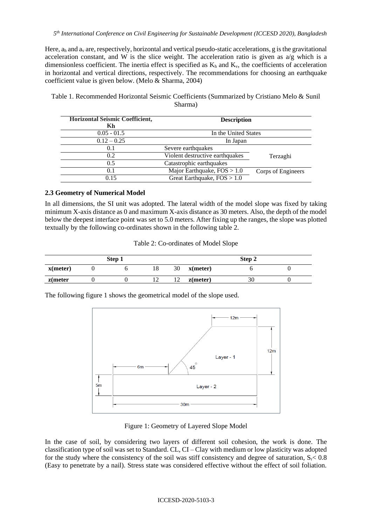Here,  $a_h$  and  $a_v$  are, respectively, horizontal and vertical pseudo-static accelerations, g is the gravitational acceleration constant, and W is the slice weight. The acceleration ratio is given as  $a/g$  which is a dimensionless coefficient. The inertia effect is specified as  $K_h$  and  $K_v$ , the coefficients of acceleration in horizontal and vertical directions, respectively. The recommendations for choosing an earthquake coefficient value is given below. (Melo & Sharma, 2004)

Table 1. Recommended Horizontal Seismic Coefficients (Summarized by Cristiano Melo & Sunil Sharma)

| Horizontal Seismic Coefficient,<br>Kh | <b>Description</b>              |                    |  |  |  |  |
|---------------------------------------|---------------------------------|--------------------|--|--|--|--|
| $0.05 - 01.5$                         | In the United States            |                    |  |  |  |  |
| $0.12 - 0.25$                         | In Japan                        |                    |  |  |  |  |
| 0.1                                   | Severe earthquakes              |                    |  |  |  |  |
| 0.2                                   | Violent destructive earthquakes | Terzaghi           |  |  |  |  |
| 0.5                                   | Catastrophic earthquakes        |                    |  |  |  |  |
| 0.1                                   | Major Earthquake, $FOS > 1.0$   | Corps of Engineers |  |  |  |  |
| 0.15                                  | Great Earthquake, $FOS > 1.0$   |                    |  |  |  |  |

## **2.3 Geometry of Numerical Model**

In all dimensions, the SI unit was adopted. The lateral width of the model slope was fixed by taking minimum X-axis distance as 0 and maximum X-axis distance as 30 meters. Also, the depth of the model below the deepest interface point was set to 5.0 meters. After fixing up the ranges, the slope was plotted textually by the following co-ordinates shown in the following table 2.

Table 2: Co-ordinates of Model Slope

|             | Step 1 |    | Step 2 |             |    |  |  |
|-------------|--------|----|--------|-------------|----|--|--|
| $x$ (meter) |        | 18 | 30     | $x$ (meter) |    |  |  |
| $z$ (meter  |        |    |        | $z$ (meter) | 3U |  |  |

The following figure 1 shows the geometrical model of the slope used.



Figure 1: Geometry of Layered Slope Model

In the case of soil, by considering two layers of different soil cohesion, the work is done. The classification type of soil was set to Standard. CL, CI – Clay with medium or low plasticity was adopted for the study where the consistency of the soil was stiff consistency and degree of saturation,  $S_r < 0.8$ (Easy to penetrate by a nail). Stress state was considered effective without the effect of soil foliation.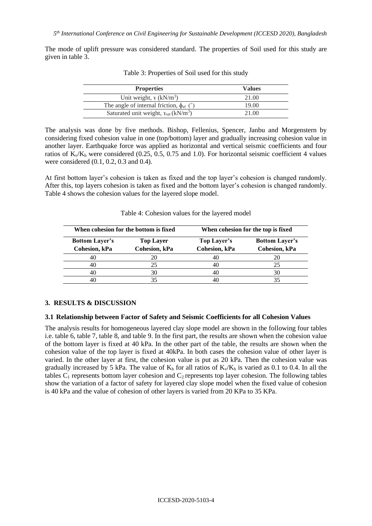The mode of uplift pressure was considered standard. The properties of Soil used for this study are given in table 3.

| <b>Properties</b>                                            | <b>Values</b> |
|--------------------------------------------------------------|---------------|
| Unit weight, $\gamma$ (kN/m <sup>3</sup> )                   | 21.00         |
| The angle of internal friction, $\phi_{\rm ef}$ (°)          | 19.00         |
| Saturated unit weight, $x_{\text{sat}}$ (kN/m <sup>3</sup> ) | 21.00         |

Table 3: Properties of Soil used for this study

The analysis was done by five methods. Bishop, Fellenius, Spencer, Janbu and Morgenstern by considering fixed cohesion value in one (top/bottom) layer and gradually increasing cohesion value in another layer. Earthquake force was applied as horizontal and vertical seismic coefficients and four ratios of  $K_v/K_h$  were considered (0.25, 0.5, 0.75 and 1.0). For horizontal seismic coefficient 4 values were considered (0.1, 0.2, 0.3 and 0.4).

At first bottom layer's cohesion is taken as fixed and the top layer's cohesion is changed randomly. After this, top layers cohesion is taken as fixed and the bottom layer's cohesion is changed randomly. Table 4 shows the cohesion values for the layered slope model.

|                                        | When cohesion for the bottom is fixed | When cohesion for the top is fixed |                                        |  |  |  |
|----------------------------------------|---------------------------------------|------------------------------------|----------------------------------------|--|--|--|
| <b>Bottom Layer's</b><br>Cohesion, kPa | <b>Top Layer</b><br>Cohesion, kPa     | Top Layer's<br>Cohesion, kPa       | <b>Bottom Layer's</b><br>Cohesion, kPa |  |  |  |
| 40                                     |                                       | 40                                 | 20                                     |  |  |  |
| 40                                     | 25                                    | 40                                 | 25                                     |  |  |  |
|                                        | 30                                    | 40                                 | 30                                     |  |  |  |
|                                        |                                       | 40                                 |                                        |  |  |  |

Table 4: Cohesion values for the layered model

## **3. RESULTS & DISCUSSION**

#### **3.1 Relationship between Factor of Safety and Seismic Coefficients for all Cohesion Values**

The analysis results for homogeneous layered clay slope model are shown in the following four tables i.e. table 6, table 7, table 8, and table 9. In the first part, the results are shown when the cohesion value of the bottom layer is fixed at 40 kPa. In the other part of the table, the results are shown when the cohesion value of the top layer is fixed at 40kPa. In both cases the cohesion value of other layer is varied. In the other layer at first, the cohesion value is put as 20 kPa. Then the cohesion value was gradually increased by 5 kPa. The value of  $K<sub>h</sub>$  for all ratios of  $K<sub>v</sub>/K<sub>h</sub>$  is varied as 0.1 to 0.4. In all the tables  $C_1$  represents bottom layer cohesion and  $C_2$  represents top layer cohesion. The following tables show the variation of a factor of safety for layered clay slope model when the fixed value of cohesion is 40 kPa and the value of cohesion of other layers is varied from 20 KPa to 35 KPa.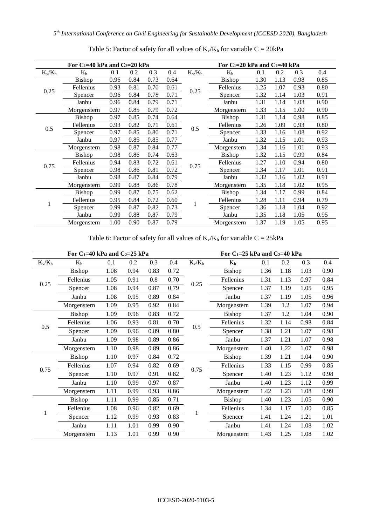|           | For $C_1=40$ kPa and $C_2=20$ kPa |      |      |      | For $C_1=20$ kPa and $C_2=40$ kPa |           |               |      |      |      |      |
|-----------|-----------------------------------|------|------|------|-----------------------------------|-----------|---------------|------|------|------|------|
| $K_v/K_h$ | $\rm K_h$                         | 0.1  | 0.2  | 0.3  | 0.4                               | $K_v/K_h$ | $\rm K_h$     | 0.1  | 0.2  | 0.3  | 0.4  |
|           | Bishop                            | 0.96 | 0.84 | 0.73 | 0.64                              |           | Bishop        | 1.30 | 1.13 | 0.98 | 0.85 |
|           | Fellenius                         | 0.93 | 0.81 | 0.70 | 0.61                              |           | Fellenius     | 1.25 | 1.07 | 0.93 | 0.80 |
| 0.25      | Spencer                           | 0.96 | 0.84 | 0.78 | 0.71                              | 0.25      | Spencer       | 1.32 | 1.14 | 1.03 | 0.91 |
|           | Janbu                             | 0.96 | 0.84 | 0.79 | 0.71                              |           | Janbu         | 1.31 | 1.14 | 1.03 | 0.90 |
|           | Morgenstern                       | 0.97 | 0.85 | 0.79 | 0.72                              |           | Morgenstern   | 1.33 | 1.15 | 1.00 | 0.90 |
|           | <b>Bishop</b>                     | 0.97 | 0.85 | 0.74 | 0.64                              |           | <b>Bishop</b> | 1.31 | 1.14 | 0.98 | 0.85 |
|           | Fellenius                         | 0.93 | 0.82 | 0.71 | 0.61                              |           | Fellenius     | 1.26 | 1.09 | 0.93 | 0.80 |
| 0.5       | Spencer                           | 0.97 | 0.85 | 0.80 | 0.71                              | 0.5       | Spencer       | 1.33 | 1.16 | 1.08 | 0.92 |
|           | Janbu                             | 0.97 | 0.85 | 0.85 | 0.77                              |           | Janbu         | 1.32 | 1.15 | 1.01 | 0.93 |
|           | Morgenstern                       | 0.98 | 0.87 | 0.84 | 0.77                              |           | Morgenstern   | 1.34 | 1.16 | 1.01 | 0.93 |
|           | <b>Bishop</b>                     | 0.98 | 0.86 | 0.74 | 0.63                              |           | <b>Bishop</b> | 1.32 | 1.15 | 0.99 | 0.84 |
|           | Fellenius                         | 0.94 | 0.83 | 0.72 | 0.61                              |           | Fellenius     | 1.27 | 1.10 | 0.94 | 0.80 |
| 0.75      | Spencer                           | 0.98 | 0.86 | 0.81 | 0.72                              | 0.75      | Spencer       | 1.34 | 1.17 | 1.01 | 0.91 |
|           | Janbu                             | 0.98 | 0.87 | 0.84 | 0.79                              |           | Janbu         | 1.32 | 1.16 | 1.02 | 0.91 |
|           | Morgenstern                       | 0.99 | 0.88 | 0.86 | 0.78                              |           | Morgenstern   | 1.35 | 1.18 | 1.02 | 0.95 |
|           | <b>Bishop</b>                     | 0.99 | 0.87 | 0.75 | 0.62                              |           | <b>Bishop</b> | 1.34 | 1.17 | 0.99 | 0.84 |
|           | Fellenius                         | 0.95 | 0.84 | 0.72 | 0.60                              |           | Fellenius     | 1.28 | 1.11 | 0.94 | 0.79 |
|           | Spencer                           | 0.99 | 0.87 | 0.82 | 0.73                              |           | Spencer       | 1.36 | 1.18 | 1.04 | 0.92 |
|           | Janbu                             | 0.99 | 0.88 | 0.87 | 0.79                              |           | Janbu         | 1.35 | 1.18 | 1.05 | 0.95 |
|           | Morgenstern                       | 1.00 | 0.90 | 0.87 | 0.79                              |           | Morgenstern   | 1.37 | 1.19 | 1.05 | 0.95 |

Table 5: Factor of safety for all values of  $K_v/K_h$  for variable  $C = 20kPa$ 

Table 6: Factor of safety for all values of  $K_v/K_h$  for variable  $C = 25kPa$ 

|           | For $C_1=40$ kPa and $C_2=25$ kPa |      |      |      | For $C_1=25$ kPa and $C_2=40$ kPa |           |               |      |      |      |      |
|-----------|-----------------------------------|------|------|------|-----------------------------------|-----------|---------------|------|------|------|------|
| $K_v/K_h$ | $K_h$                             | 0.1  | 0.2  | 0.3  | 0.4                               | $K_v/K_h$ | $K_h$         | 0.1  | 0.2  | 0.3  | 0.4  |
|           | Bishop                            | 1.08 | 0.94 | 0.83 | 0.72                              |           | Bishop        | 1.36 | 1.18 | 1.03 | 0.90 |
| 0.25      | Fellenius                         | 1.05 | 0.91 | 0.8  | 0.70                              | 0.25      | Fellenius     | 1.31 | 1.13 | 0.97 | 0.84 |
|           | Spencer                           | 1.08 | 0.94 | 0.87 | 0.79                              |           | Spencer       | 1.37 | 1.19 | 1.05 | 0.95 |
|           | Janbu                             | 1.08 | 0.95 | 0.89 | 0.84                              |           | Janbu         | 1.37 | 1.19 | 1.05 | 0.96 |
|           | Morgenstern                       | 1.09 | 0.95 | 0.92 | 0.84                              |           | Morgenstern   | 1.39 | 1.2  | 1.07 | 0.94 |
|           | Bishop                            | 1.09 | 0.96 | 0.83 | 0.72                              |           | Bishop        | 1.37 | 1.2  | 1.04 | 0.90 |
| 0.5       | Fellenius                         | 1.06 | 0.93 | 0.81 | 0.70                              | 0.5       | Fellenius     | 1.32 | 1.14 | 0.98 | 0.84 |
|           | Spencer                           | 1.09 | 0.96 | 0.89 | 0.80                              |           | Spencer       | 1.38 | 1.21 | 1.07 | 0.98 |
|           | Janbu                             | 1.09 | 0.98 | 0.89 | 0.86                              |           | Janbu         | 1.37 | 1.21 | 1.07 | 0.98 |
|           | Morgenstern                       | 1.10 | 0.98 | 0.89 | 0.86                              |           | Morgenstern   | 1.40 | 1.22 | 1.07 | 0.98 |
|           | Bishop                            | 1.10 | 0.97 | 0.84 | 0.72                              |           | <b>Bishop</b> | 1.39 | 1.21 | 1.04 | 0.90 |
| 0.75      | Fellenius                         | 1.07 | 0.94 | 0.82 | 0.69                              | 0.75      | Fellenius     | 1.33 | 1.15 | 0.99 | 0.85 |
|           | Spencer                           | 1.10 | 0.97 | 0.91 | 0.82                              |           | Spencer       | 1.40 | 1.23 | 1.12 | 0.98 |
|           | Janbu                             | 1.10 | 0.99 | 0.97 | 0.87                              |           | Janbu         | 1.40 | 1.23 | 1.12 | 0.99 |
|           | Morgenstern                       | 1.11 | 0.99 | 0.93 | 0.86                              |           | Morgenstern   | 1.42 | 1.23 | 1.08 | 0.99 |
|           | Bishop                            | 1.11 | 0.99 | 0.85 | 0.71                              |           | Bishop        | 1.40 | 1.23 | 1.05 | 0.90 |
|           | Fellenius                         | 1.08 | 0.96 | 0.82 | 0.69                              |           | Fellenius     | 1.34 | 1.17 | 1.00 | 0.85 |
|           | Spencer                           | 1.12 | 0.99 | 0.93 | 0.83                              |           | Spencer       | 1.41 | 1.24 | 1.21 | 1.01 |
|           | Janbu                             | 1.11 | 1.01 | 0.99 | 0.90                              |           | Janbu         | 1.41 | 1.24 | 1.08 | 1.02 |
|           | Morgenstern                       | 1.13 | 1.01 | 0.99 | 0.90                              |           | Morgenstern   | 1.43 | 1.25 | 1.08 | 1.02 |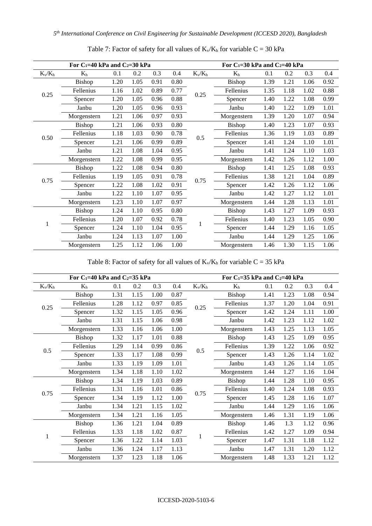| For $C_1=40$ kPa and $C_2=30$ kPa |             |      |      |      |      |               | For $C_1=30$ kPa and $C_2=40$ kPa |      |      |      |      |  |
|-----------------------------------|-------------|------|------|------|------|---------------|-----------------------------------|------|------|------|------|--|
| $K_v/K_h$                         | $K_h$       | 0.1  | 0.2  | 0.3  | 0.4  | $K_{\nu}/K_h$ | $K_h$                             | 0.1  | 0.2  | 0.3  | 0.4  |  |
|                                   | Bishop      | 1.20 | 1.05 | 0.91 | 0.80 |               | Bishop                            | 1.39 | 1.21 | 1.06 | 0.92 |  |
| 0.25                              | Fellenius   | 1.16 | 1.02 | 0.89 | 0.77 | 0.25          | Fellenius                         | 1.35 | 1.18 | 1.02 | 0.88 |  |
|                                   | Spencer     | 1.20 | 1.05 | 0.96 | 0.88 |               | Spencer                           | 1.40 | 1.22 | 1.08 | 0.99 |  |
|                                   | Janbu       | 1.20 | 1.05 | 0.96 | 0.93 |               | Janbu                             | 1.40 | 1.22 | 1.09 | 1.01 |  |
|                                   | Morgenstern | 1.21 | 1.06 | 0.97 | 0.93 |               | Morgenstern                       | 1.39 | 1.20 | 1.07 | 0.94 |  |
|                                   | Bishop      | 1.21 | 1.06 | 0.93 | 0.80 |               | Bishop                            | 1.40 | 1.23 | 1.07 | 0.93 |  |
| 0.50                              | Fellenius   | 1.18 | 1.03 | 0.90 | 0.78 | 0.5           | Fellenius                         | 1.36 | 1.19 | 1.03 | 0.89 |  |
|                                   | Spencer     | 1.21 | 1.06 | 0.99 | 0.89 |               | Spencer                           | 1.41 | 1.24 | 1.10 | 1.01 |  |
|                                   | Janbu       | 1.21 | 1.08 | 1.04 | 0.95 |               | Janbu                             | 1.41 | 1.24 | 1.10 | 1.03 |  |
|                                   | Morgenstern | 1.22 | 1.08 | 0.99 | 0.95 |               | Morgenstern                       | 1.42 | 1.26 | 1.12 | 1.00 |  |
|                                   | Bishop      | 1.22 | 1.08 | 0.94 | 0.80 |               | Bishop                            | 1.41 | 1.25 | 1.08 | 0.93 |  |
| 0.75                              | Fellenius   | 1.19 | 1.05 | 0.91 | 0.78 | 0.75          | Fellenius                         | 1.38 | 1.21 | 1.04 | 0.89 |  |
|                                   | Spencer     | 1.22 | 1.08 | 1.02 | 0.91 |               | Spencer                           | 1.42 | 1.26 | 1.12 | 1.06 |  |
|                                   | Janbu       | 1.22 | 1.10 | 1.07 | 0.95 |               | Janbu                             | 1.42 | 1.27 | 1.12 | 1.01 |  |
|                                   | Morgenstern | 1.23 | 1.10 | 1.07 | 0.97 |               | Morgenstern                       | 1.44 | 1.28 | 1.13 | 1.01 |  |
|                                   | Bishop      | 1.24 | 1.10 | 0.95 | 0.80 |               | Bishop                            | 1.43 | 1.27 | 1.09 | 0.93 |  |
| 1                                 | Fellenius   | 1.20 | 1.07 | 0.92 | 0.78 |               | Fellenius                         | 1.40 | 1.23 | 1.05 | 0.90 |  |
|                                   | Spencer     | 1.24 | 1.10 | 1.04 | 0.95 |               | Spencer                           | 1.44 | 1.29 | 1.16 | 1.05 |  |
|                                   | Janbu       | 1.24 | 1.13 | 1.07 | 1.00 |               | Janbu                             | 1.44 | 1.29 | 1.25 | 1.06 |  |
|                                   | Morgenstern | 1.25 | 1.12 | 1.06 | 1.00 |               | Morgenstern                       | 1.46 | 1.30 | 1.15 | 1.06 |  |

Table 7: Factor of safety for all values of  $K_v/K_h$  for variable  $C = 30$  kPa

Table 8: Factor of safety for all values of  $K_v/K_h$  for variable  $C = 35$  kPa

| For $C_1=40$ kPa and $C_2=35$ kPa |             |      |      |      |      |           | For $C_1 = 35$ kPa and $C_2 = 40$ kPa |      |      |      |      |
|-----------------------------------|-------------|------|------|------|------|-----------|---------------------------------------|------|------|------|------|
| $K_v/K_h$                         | $K_h$       | 0.1  | 0.2  | 0.3  | 0.4  | $K_v/K_h$ | $K_h$                                 | 0.1  | 0.2  | 0.3  | 0.4  |
|                                   | Bishop      | 1.31 | 1.15 | 1.00 | 0.87 |           | Bishop                                | 1.41 | 1.23 | 1.08 | 0.94 |
|                                   | Fellenius   | 1.28 | 1.12 | 0.97 | 0.85 | 0.25      | Fellenius                             | 1.37 | 1.20 | 1.04 | 0.91 |
| 0.25                              | Spencer     | 1.32 | 1.15 | 1.05 | 0.96 |           | Spencer                               | 1.42 | 1.24 | 1.11 | 1.00 |
|                                   | Janbu       | 1.31 | 1.15 | 1.06 | 0.98 |           | Janbu                                 | 1.42 | 1.23 | 1.12 | 1.02 |
|                                   | Morgenstern | 1.33 | 1.16 | 1.06 | 1.00 |           | Morgenstern                           | 1.43 | 1.25 | 1.13 | 1.05 |
|                                   | Bishop      | 1.32 | 1.17 | 1.01 | 0.88 |           | Bishop                                | 1.43 | 1.25 | 1.09 | 0.95 |
| 0.5                               | Fellenius   | 1.29 | 1.14 | 0.99 | 0.86 | 0.5       | Fellenius                             | 1.39 | 1.22 | 1.06 | 0.92 |
|                                   | Spencer     | 1.33 | 1.17 | 1.08 | 0.99 |           | Spencer                               | 1.43 | 1.26 | 1.14 | 1.02 |
|                                   | Janbu       | 1.33 | 1.19 | 1.09 | 1.01 |           | Janbu                                 | 1.43 | 1.26 | 1.14 | 1.05 |
|                                   | Morgenstern | 1.34 | 1.18 | 1.10 | 1.02 |           | Morgenstern                           | 1.44 | 1.27 | 1.16 | 1.04 |
|                                   | Bishop      | 1.34 | 1.19 | 1.03 | 0.89 |           | Bishop                                | 1.44 | 1.28 | 1.10 | 0.95 |
| 0.75                              | Fellenius   | 1.31 | 1.16 | 1.01 | 0.86 | 0.75      | Fellenius                             | 1.40 | 1.24 | 1.08 | 0.93 |
|                                   | Spencer     | 1.34 | 1.19 | 1.12 | 1.00 |           | Spencer                               | 1.45 | 1.28 | 1.16 | 1.07 |
|                                   | Janbu       | 1.34 | 1.21 | 1.15 | 1.02 |           | Janbu                                 | 1.44 | 1.29 | 1.16 | 1.06 |
|                                   | Morgenstern | 1.34 | 1.21 | 1.16 | 1.05 |           | Morgenstern                           | 1.46 | 1.31 | 1.19 | 1.06 |
|                                   | Bishop      | 1.36 | 1.21 | 1.04 | 0.89 |           | Bishop                                | 1.46 | 1.3  | 1.12 | 0.96 |
| 1                                 | Fellenius   | 1.33 | 1.18 | 1.02 | 0.87 |           | Fellenius                             | 1.42 | 1.27 | 1.09 | 0.94 |
|                                   | Spencer     | 1.36 | 1.22 | 1.14 | 1.03 |           | Spencer                               | 1.47 | 1.31 | 1.18 | 1.12 |
|                                   | Janbu       | 1.36 | 1.24 | 1.17 | 1.13 |           | Janbu                                 | 1.47 | 1.31 | 1.20 | 1.12 |
|                                   | Morgenstern | 1.37 | 1.23 | 1.18 | 1.06 |           | Morgenstern                           | 1.48 | 1.33 | 1.21 | 1.12 |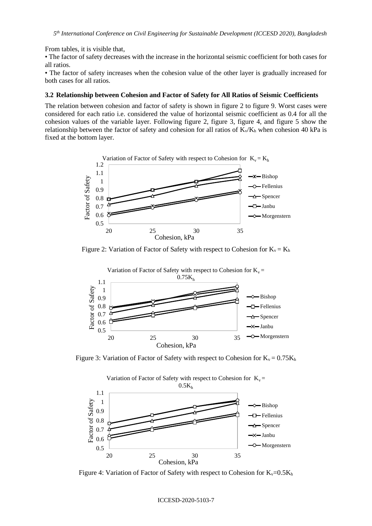From tables, it is visible that,

• The factor of safety decreases with the increase in the horizontal seismic coefficient for both cases for all ratios.

• The factor of safety increases when the cohesion value of the other layer is gradually increased for both cases for all ratios.

#### **3.2 Relationship between Cohesion and Factor of Safety for All Ratios of Seismic Coefficients**

The relation between cohesion and factor of safety is shown in figure 2 to figure 9. Worst cases were considered for each ratio i.e. considered the value of horizontal seismic coefficient as 0.4 for all the cohesion values of the variable layer. Following figure 2, figure 3, figure 4, and figure 5 show the relationship between the factor of safety and cohesion for all ratios of  $K_v/K_h$  when cohesion 40 kPa is fixed at the bottom layer.



Figure 2: Variation of Factor of Safety with respect to Cohesion for  $K_v = K_h$ 



Figure 3: Variation of Factor of Safety with respect to Cohesion for  $K_v = 0.75K_h$ 



Figure 4: Variation of Factor of Safety with respect to Cohesion for  $K_v=0.5K_h$ 

#### ICCESD-2020-5103-7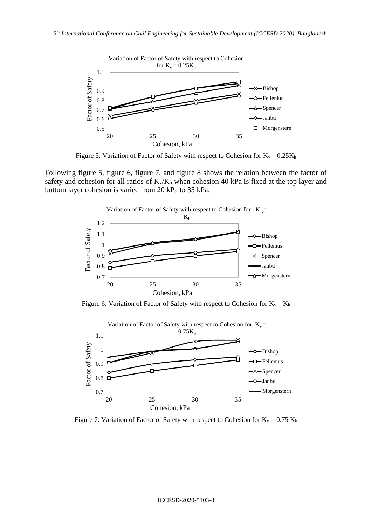

Figure 5: Variation of Factor of Safety with respect to Cohesion for  $K_v = 0.25K_h$ 

Following figure 5, figure 6, figure 7, and figure 8 shows the relation between the factor of safety and cohesion for all ratios of  $K_v/K_h$  when cohesion 40 kPa is fixed at the top layer and bottom layer cohesion is varied from 20 kPa to 35 kPa.



Figure 6: Variation of Factor of Safety with respect to Cohesion for  $K_v = K_h$ 



Figure 7: Variation of Factor of Safety with respect to Cohesion for  $K_v = 0.75 K_h$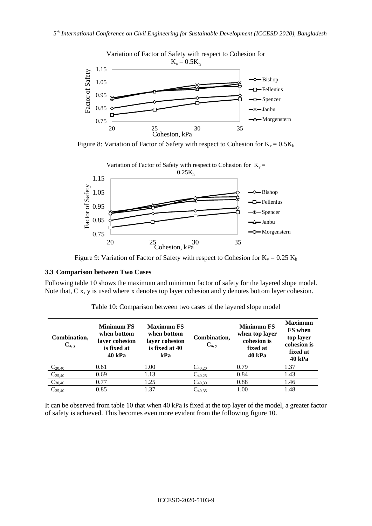

Figure 8: Variation of Factor of Safety with respect to Cohesion for  $K_v = 0.5K_h$ 



Figure 9: Variation of Factor of Safety with respect to Cohesion for  $K_v = 0.25 K_h$ 

## **3.3 Comparison between Two Cases**

Following table 10 shows the maximum and minimum factor of safety for the layered slope model. Note that, C x, y is used where x denotes top layer cohesion and y denotes bottom layer cohesion.

| Combination,<br>$C_{x, y}$ | <b>Minimum FS</b><br>when bottom<br>layer cohesion<br>is fixed at<br>40 kPa | <b>Maximum FS</b><br>when bottom<br>layer cohesion<br>is fixed at 40<br>kPa | Combination,<br>$C_{x, y}$ | <b>Minimum FS</b><br>when top layer<br>cohesion is<br>fixed at<br><b>40 kPa</b> | <b>Maximum</b><br><b>FS</b> when<br>top layer<br>cohesion is<br>fixed at<br><b>40 kPa</b> |
|----------------------------|-----------------------------------------------------------------------------|-----------------------------------------------------------------------------|----------------------------|---------------------------------------------------------------------------------|-------------------------------------------------------------------------------------------|
| $C_{20,40}$                | 0.61                                                                        | 1.00                                                                        | $C_{40,20}$                | 0.79                                                                            | 1.37                                                                                      |
| $C_{25,40}$                | 0.69                                                                        | 1.13                                                                        | $C_{40,25}$                | 0.84                                                                            | 1.43                                                                                      |
| $C_{30,40}$                | 0.77                                                                        | 1.25                                                                        | $C_{40,30}$                | 0.88                                                                            | 1.46                                                                                      |
| $C_{35,40}$                | 0.85                                                                        | 1.37                                                                        | $C_{40,35}$                | 1.00                                                                            | 1.48                                                                                      |

Table 10: Comparison between two cases of the layered slope model

It can be observed from table 10 that when 40 kPa is fixed at the top layer of the model, a greater factor of safety is achieved. This becomes even more evident from the following figure 10.